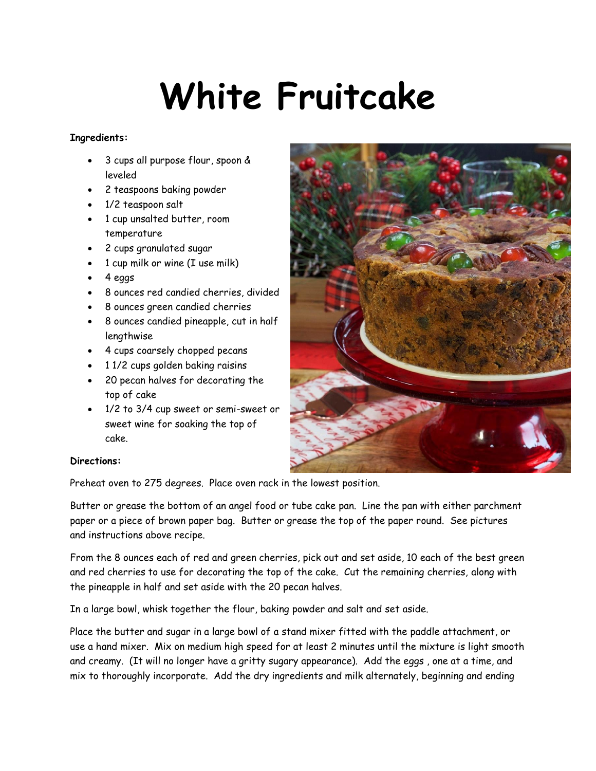## **White Fruitcake**

## **Ingredients:**

- 3 cups all purpose flour, spoon & leveled
- 2 teaspoons baking powder
- 1/2 teaspoon salt
- 1 cup unsalted butter, room temperature
- 2 cups granulated sugar
- 1 cup milk or wine (I use milk)
- $-4$  eggs
- 8 ounces red candied cherries, divided
- 8 ounces green candied cherries
- 8 ounces candied pineapple, cut in half lengthwise
- 4 cups coarsely chopped pecans
- 11/2 cups golden baking raisins
- 20 pecan halves for decorating the top of cake
- 1/2 to 3/4 cup sweet or semi-sweet or sweet wine for soaking the top of cake.



## **Directions:**

Preheat oven to 275 degrees. Place oven rack in the lowest position.

Butter or grease the bottom of an angel food or tube cake pan. Line the pan with either parchment paper or a piece of brown paper bag. Butter or grease the top of the paper round. See pictures and instructions above recipe.

From the 8 ounces each of red and green cherries, pick out and set aside, 10 each of the best green and red cherries to use for decorating the top of the cake. Cut the remaining cherries, along with the pineapple in half and set aside with the 20 pecan halves.

In a large bowl, whisk together the flour, baking powder and salt and set aside.

Place the butter and sugar in a large bowl of a stand mixer fitted with the paddle attachment, or use a hand mixer. Mix on medium high speed for at least 2 minutes until the mixture is light smooth and creamy. (It will no longer have a gritty sugary appearance). Add the eggs , one at a time, and mix to thoroughly incorporate. Add the dry ingredients and milk alternately, beginning and ending